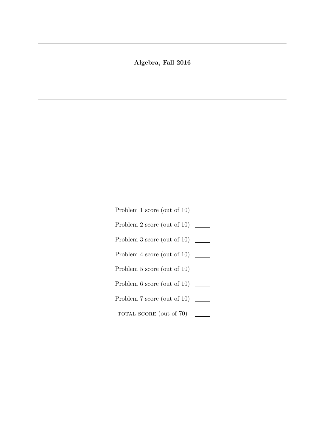## Algebra, Fall 2016

- Problem 1 score (out of 10) \_\_\_\_\_\_\_
- Problem 2 score (out of 10) \_\_\_\_\_\_\_
- Problem 3 score (out of 10) \_\_\_\_\_\_\_
- Problem 4 score (out of 10) \_\_\_\_\_\_\_
- Problem 5 score (out of 10) \_\_\_\_\_\_\_
- Problem 6 score (out of 10) \_\_\_\_\_\_
- Problem 7 score (out of 10) \_\_\_\_\_\_\_
- TOTAL SCORE (out of 70)  $\frac{1}{2}$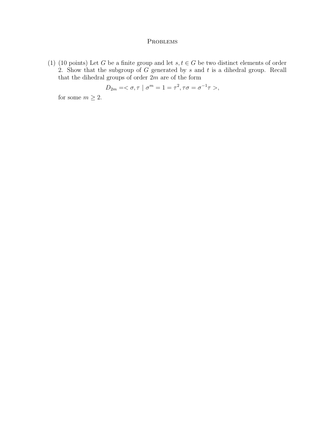## **PROBLEMS**

(1) (10 points) Let G be a finite group and let  $s, t \in G$  be two distinct elements of order 2. Show that the subgroup of  $G$  generated by  $s$  and  $t$  is a dihedral group. Recall that the dihedral groups of order  $2m$  are of the form

$$
D_{2m} = <\sigma, \tau \mid \sigma^m = 1 = \tau^2, \tau\sigma = \sigma^{-1}\tau>,
$$

for some  $m\geq 2.$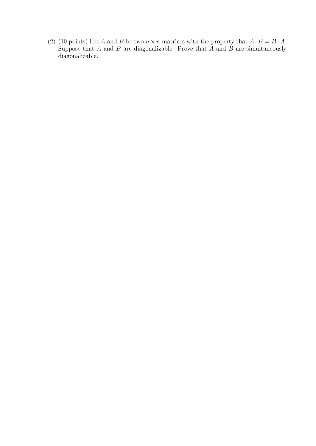(2) (10 points) Let A and B be two  $n \times n$  matrices with the property that  $A \cdot B = B \cdot A$ . Suppose that A and B are diagonalizable. Prove that  $\overrightarrow{A}$  and  $\overrightarrow{B}$  are simultaneously diagonalizable.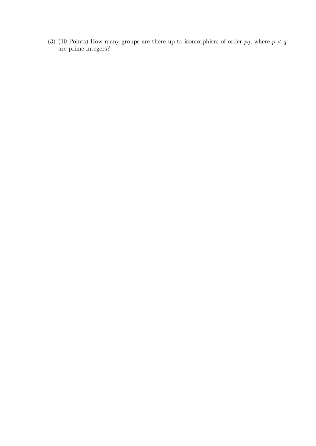(3) (10 Points) How many groups are there up to isomorphism of order  $pq$ , where  $p < q$ are prime integers?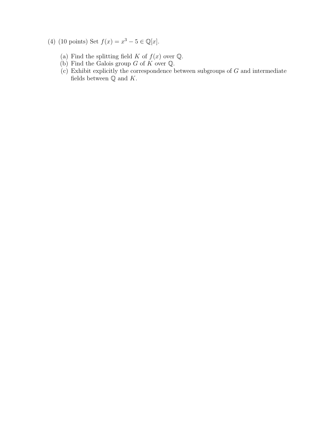- (4) (10 points) Set  $f(x) = x^3 5 \in \mathbb{Q}[x]$ .
	- (a) Find the splitting field K of  $f(x)$  over  $\mathbb{Q}$ .
	- (b) Find the Galois group G of  $K$  over  $\mathbb{Q}$ .
	- $(c)$  Exhibit explicitly the correspondence between subgroups of G and intermediate fields between  $\mathbb Q$  and  $K.$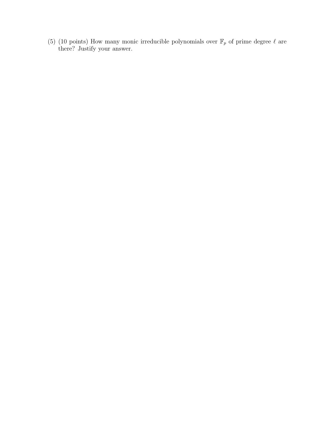(5) (10 points) How many monic irreducible polynomials over  $\mathbb{F}_p$  of prime degree  $\ell$  are there? Justify your answer.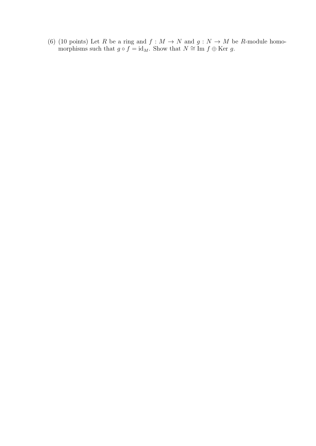(6) (10 points) Let R be a ring and  $f : M \to N$  and  $g : N \to M$  be R-module homomorphisms such that  $g \circ f = id_M$ . Show that  $N \cong \text{Im } f \oplus \text{Ker } g$ .